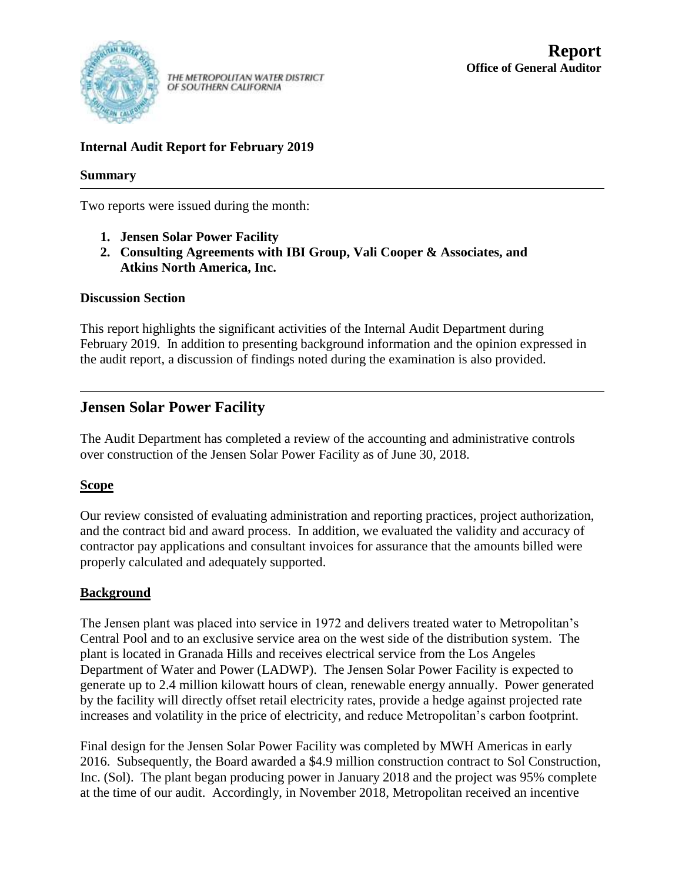

THE METROPOLITAN WATER DISTRICT OF SOUTHERN CALIFORNIA

### **Internal Audit Report for February 2019**

#### **Summary**

Two reports were issued during the month:

- **1. Jensen Solar Power Facility**
- **2. Consulting Agreements with IBI Group, Vali Cooper & Associates, and Atkins North America, Inc.**

#### **Discussion Section**

This report highlights the significant activities of the Internal Audit Department during February 2019. In addition to presenting background information and the opinion expressed in the audit report, a discussion of findings noted during the examination is also provided.

## **Jensen Solar Power Facility**

The Audit Department has completed a review of the accounting and administrative controls over construction of the Jensen Solar Power Facility as of June 30, 2018.

#### **Scope**

Our review consisted of evaluating administration and reporting practices, project authorization, and the contract bid and award process. In addition, we evaluated the validity and accuracy of contractor pay applications and consultant invoices for assurance that the amounts billed were properly calculated and adequately supported.

#### **Background**

The Jensen plant was placed into service in 1972 and delivers treated water to Metropolitan's Central Pool and to an exclusive service area on the west side of the distribution system. The plant is located in Granada Hills and receives electrical service from the Los Angeles Department of Water and Power (LADWP). The Jensen Solar Power Facility is expected to generate up to 2.4 million kilowatt hours of clean, renewable energy annually. Power generated by the facility will directly offset retail electricity rates, provide a hedge against projected rate increases and volatility in the price of electricity, and reduce Metropolitan's carbon footprint.

Final design for the Jensen Solar Power Facility was completed by MWH Americas in early 2016. Subsequently, the Board awarded a \$4.9 million construction contract to Sol Construction, Inc. (Sol). The plant began producing power in January 2018 and the project was 95% complete at the time of our audit. Accordingly, in November 2018, Metropolitan received an incentive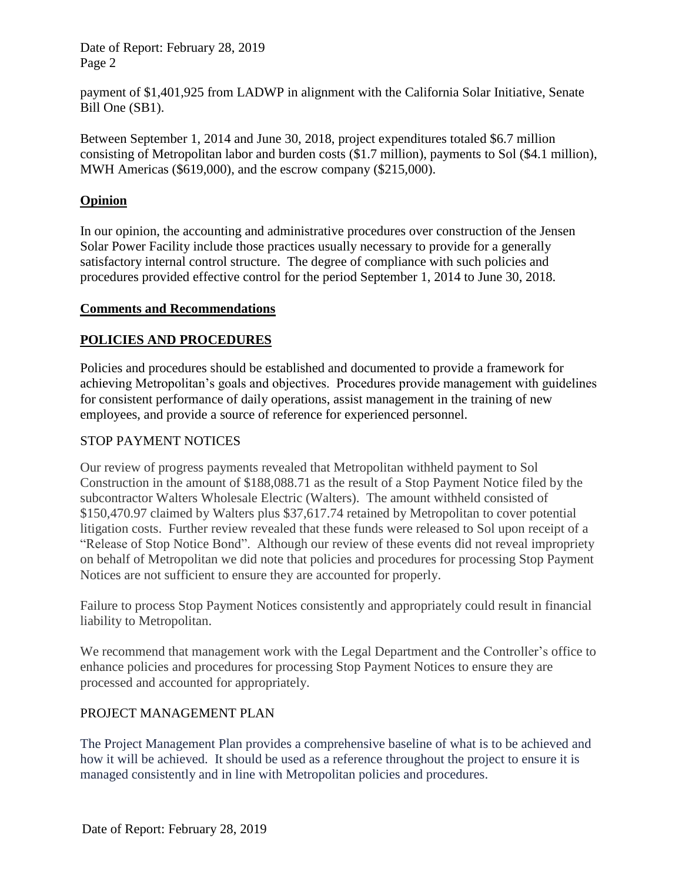payment of \$1,401,925 from LADWP in alignment with the California Solar Initiative, Senate Bill One (SB1).

Between September 1, 2014 and June 30, 2018, project expenditures totaled \$6.7 million consisting of Metropolitan labor and burden costs (\$1.7 million), payments to Sol (\$4.1 million), MWH Americas (\$619,000), and the escrow company (\$215,000).

### **Opinion**

In our opinion, the accounting and administrative procedures over construction of the Jensen Solar Power Facility include those practices usually necessary to provide for a generally satisfactory internal control structure. The degree of compliance with such policies and procedures provided effective control for the period September 1, 2014 to June 30, 2018.

#### **Comments and Recommendations**

## **POLICIES AND PROCEDURES**

Policies and procedures should be established and documented to provide a framework for achieving Metropolitan's goals and objectives. Procedures provide management with guidelines for consistent performance of daily operations, assist management in the training of new employees, and provide a source of reference for experienced personnel.

#### STOP PAYMENT NOTICES

Our review of progress payments revealed that Metropolitan withheld payment to Sol Construction in the amount of \$188,088.71 as the result of a Stop Payment Notice filed by the subcontractor Walters Wholesale Electric (Walters). The amount withheld consisted of \$150,470.97 claimed by Walters plus \$37,617.74 retained by Metropolitan to cover potential litigation costs. Further review revealed that these funds were released to Sol upon receipt of a "Release of Stop Notice Bond". Although our review of these events did not reveal impropriety on behalf of Metropolitan we did note that policies and procedures for processing Stop Payment Notices are not sufficient to ensure they are accounted for properly.

Failure to process Stop Payment Notices consistently and appropriately could result in financial liability to Metropolitan.

We recommend that management work with the Legal Department and the Controller's office to enhance policies and procedures for processing Stop Payment Notices to ensure they are processed and accounted for appropriately.

#### PROJECT MANAGEMENT PLAN

The Project Management Plan provides a comprehensive baseline of what is to be achieved and how it will be achieved. It should be used as a reference throughout the project to ensure it is managed consistently and in line with Metropolitan policies and procedures.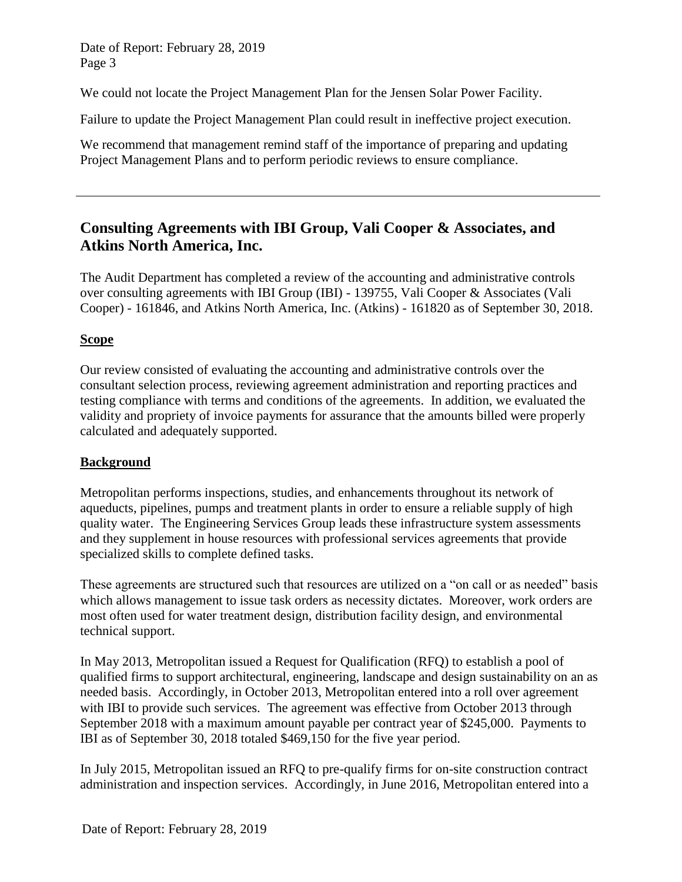We could not locate the Project Management Plan for the Jensen Solar Power Facility.

Failure to update the Project Management Plan could result in ineffective project execution.

We recommend that management remind staff of the importance of preparing and updating Project Management Plans and to perform periodic reviews to ensure compliance.

# **Consulting Agreements with IBI Group, Vali Cooper & Associates, and Atkins North America, Inc.**

The Audit Department has completed a review of the accounting and administrative controls over consulting agreements with IBI Group (IBI) - 139755, Vali Cooper & Associates (Vali Cooper) - 161846, and Atkins North America, Inc. (Atkins) - 161820 as of September 30, 2018.

### **Scope**

Our review consisted of evaluating the accounting and administrative controls over the consultant selection process, reviewing agreement administration and reporting practices and testing compliance with terms and conditions of the agreements. In addition, we evaluated the validity and propriety of invoice payments for assurance that the amounts billed were properly calculated and adequately supported.

#### **Background**

Metropolitan performs inspections, studies, and enhancements throughout its network of aqueducts, pipelines, pumps and treatment plants in order to ensure a reliable supply of high quality water. The Engineering Services Group leads these infrastructure system assessments and they supplement in house resources with professional services agreements that provide specialized skills to complete defined tasks.

These agreements are structured such that resources are utilized on a "on call or as needed" basis which allows management to issue task orders as necessity dictates. Moreover, work orders are most often used for water treatment design, distribution facility design, and environmental technical support.

In May 2013, Metropolitan issued a Request for Qualification (RFQ) to establish a pool of qualified firms to support architectural, engineering, landscape and design sustainability on an as needed basis. Accordingly, in October 2013, Metropolitan entered into a roll over agreement with IBI to provide such services. The agreement was effective from October 2013 through September 2018 with a maximum amount payable per contract year of \$245,000. Payments to IBI as of September 30, 2018 totaled \$469,150 for the five year period.

In July 2015, Metropolitan issued an RFQ to pre-qualify firms for on-site construction contract administration and inspection services. Accordingly, in June 2016, Metropolitan entered into a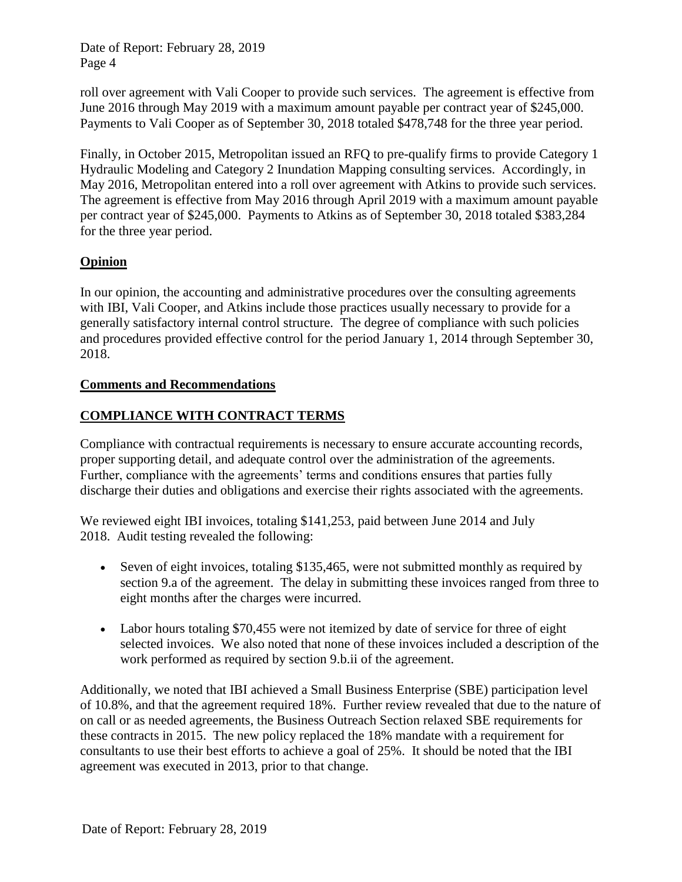roll over agreement with Vali Cooper to provide such services. The agreement is effective from June 2016 through May 2019 with a maximum amount payable per contract year of \$245,000. Payments to Vali Cooper as of September 30, 2018 totaled \$478,748 for the three year period.

Finally, in October 2015, Metropolitan issued an RFQ to pre-qualify firms to provide Category 1 Hydraulic Modeling and Category 2 Inundation Mapping consulting services. Accordingly, in May 2016, Metropolitan entered into a roll over agreement with Atkins to provide such services. The agreement is effective from May 2016 through April 2019 with a maximum amount payable per contract year of \$245,000. Payments to Atkins as of September 30, 2018 totaled \$383,284 for the three year period.

#### **Opinion**

In our opinion, the accounting and administrative procedures over the consulting agreements with IBI, Vali Cooper, and Atkins include those practices usually necessary to provide for a generally satisfactory internal control structure. The degree of compliance with such policies and procedures provided effective control for the period January 1, 2014 through September 30, 2018.

#### **Comments and Recommendations**

#### **COMPLIANCE WITH CONTRACT TERMS**

Compliance with contractual requirements is necessary to ensure accurate accounting records, proper supporting detail, and adequate control over the administration of the agreements. Further, compliance with the agreements' terms and conditions ensures that parties fully discharge their duties and obligations and exercise their rights associated with the agreements.

We reviewed eight IBI invoices, totaling \$141,253, paid between June 2014 and July 2018. Audit testing revealed the following:

- Seven of eight invoices, totaling \$135,465, were not submitted monthly as required by section 9.a of the agreement. The delay in submitting these invoices ranged from three to eight months after the charges were incurred.
- Labor hours totaling \$70,455 were not itemized by date of service for three of eight selected invoices. We also noted that none of these invoices included a description of the work performed as required by section 9.b.ii of the agreement.

Additionally, we noted that IBI achieved a Small Business Enterprise (SBE) participation level of 10.8%, and that the agreement required 18%. Further review revealed that due to the nature of on call or as needed agreements, the Business Outreach Section relaxed SBE requirements for these contracts in 2015. The new policy replaced the 18% mandate with a requirement for consultants to use their best efforts to achieve a goal of 25%. It should be noted that the IBI agreement was executed in 2013, prior to that change.